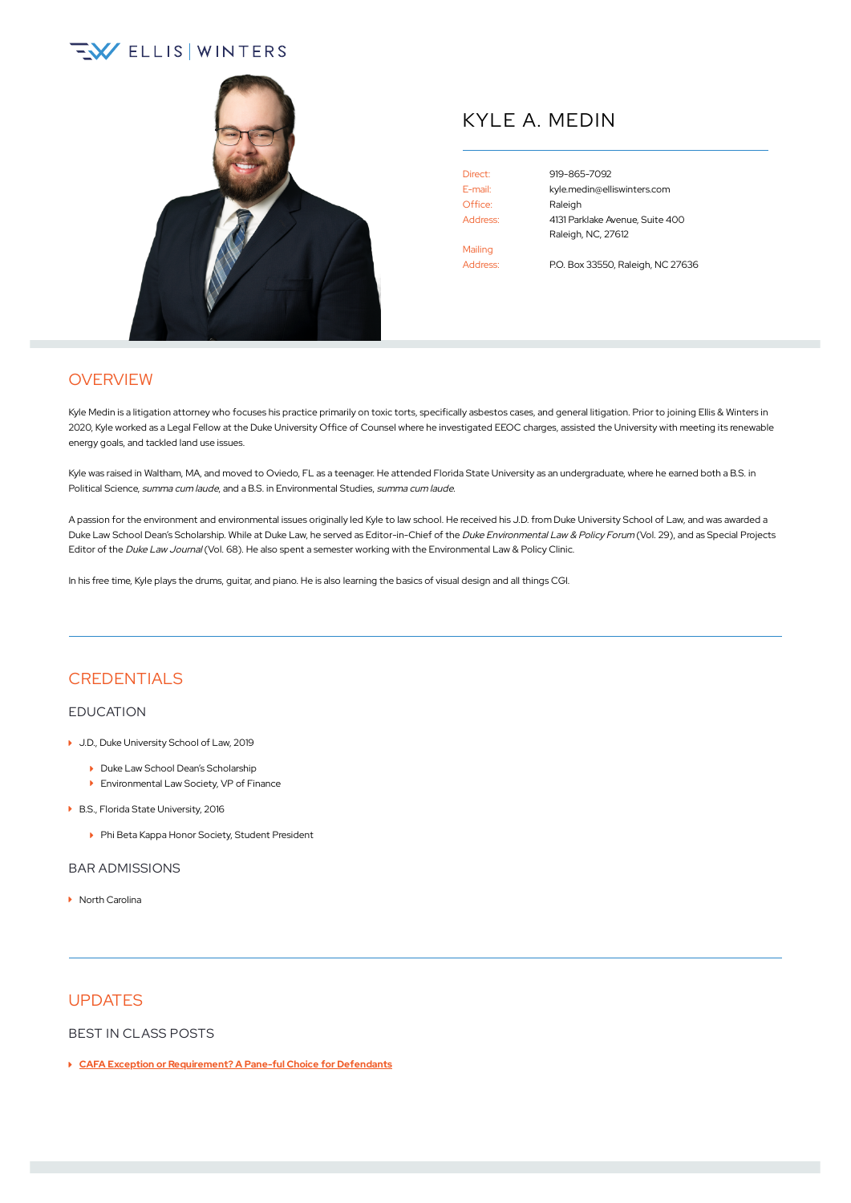# **EV ELLIS WINTERS**



## KYLE A. MEDIN

Office: Raleigh Mailing Address: P.O. Box 33550, Raleigh, NC 27636

Direct: [919-865-7092](tel:+1-919-865-7092) E-mail: [kyle.medin@elliswinters.com](mailto:kyle.medin@elliswinters.com) Address: 4131 Parklake Avenue, Suite 400 Raleigh, NC, 27612

## **OVERVIEW**

Kyle Medin is a litigation attorney who focuses his practice primarily on toxic torts, specifically asbestos cases, and general litigation. Prior to joining Ellis & Winters in 2020, Kyle worked as a Legal Fellow at the Duke University Office of Counsel where he investigated EEOC charges, assisted the University with meeting its renewable energy goals, and tackled land use issues.

Kyle was raised in Waltham, MA, and moved to Oviedo, FL as a teenager. He attended Florida State University as an undergraduate, where he earned both a B.S. in Political Science, summa cum laude, and a B.S. in Environmental Studies, summa cum laude.

A passion for the environment and environmental issues originally led Kyle to law school. He received his J.D. from Duke University School of Law, and was awarded a Duke Law School Dean's Scholarship. While at Duke Law, he served as Editor-in-Chief of the Duke Environmental Law & Policy Forum (Vol. 29), and as Special Projects Editor of the Duke Law Journal (Vol. 68). He also spent a semester working with the Environmental Law & Policy Clinic.

In his free time, Kyle plays the drums, guitar, and piano. He is also learning the basics of visual design and all things CGI.

### **CREDENTIALS**

#### EDUCATION

- ▶ J.D., Duke University School of Law, 2019
	- Duke Law School Dean's Scholarship
	- Environmental Law Society, VP of Finance
- ▶ B.S., Florida State University, 2016
	- ▶ Phi Beta Kappa Honor Society, Student President

#### BAR ADMISSIONS

▶ North Carolina

#### **UPDATES**

BEST IN CLASS POSTS

**CAFA Exception or [Requirement?](https://www.elliswinters.com/classactions/cafa-exception-or-requirement-a-pane-ful-choice-for-defendants/) A Pane-ful Choice for Defendants**